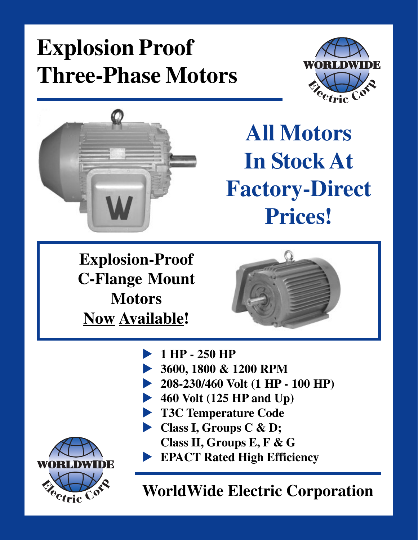



**All Motors In Stock At Factory-Direct Prices!**

**Explosion-Proof C-Flange Mount Motors Now Available!**



- u **1 HP 250 HP**
- u **3600, 1800 & 1200 RPM**
- **208-230/460 Volt (1 HP 100 HP)**
- 460 Volt (125 HP and Up)
- **T3C Temperature Code**
- **Class I, Groups C & D; Class II, Groups E, F & G**
- **EPACT Rated High Efficiency**

**WorldWide Electric Corporation**

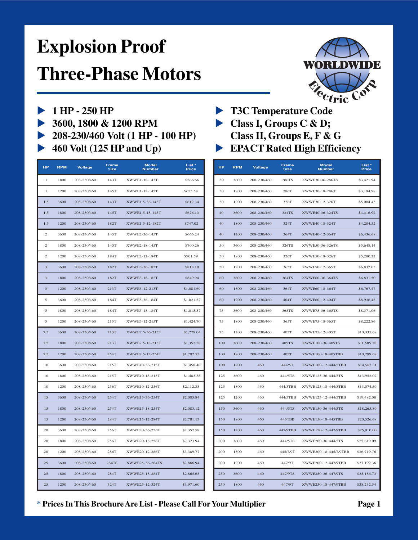

- 
- 3600, 1800 & 1200 RPM Class I, Groups C & D;
- u **208-230/460 Volt (1 HP 100 HP) Class II, Groups E, F & G**
- 

| <b>HP</b>               | <b>RPM</b> | <b>Voltage</b> | <b>Frame</b><br><b>Size</b> | <b>Model</b><br><b>Number</b> | List <sup>*</sup><br><b>Price</b> | <b>HP</b> | <b>RPM</b> | <b>Voltage</b> | Frame<br><b>Size</b> | <b>Model</b><br><b>Number</b> | List <sup>*</sup><br><b>Price</b> |
|-------------------------|------------|----------------|-----------------------------|-------------------------------|-----------------------------------|-----------|------------|----------------|----------------------|-------------------------------|-----------------------------------|
| 1                       | 1800       | 208-230/460    | 143T                        | XWWE1-18-143T                 | \$566.66                          | 30        | 3600       | 208-230/460    | 286TS                | XWWE30-36-286TS               | \$3,421.94                        |
| 1                       | 1200       | 208-230/460    | 145T                        | XWWE1-12-145T                 | \$655.54                          | 30        | 1800       | 208-230/460    | 286T                 | XWWE30-18-286T                | \$3,194.98                        |
| 1.5                     | 3600       | 208-230/460    | 143T                        | XWWE1.5-36-143T               | \$612.34                          | 30        | 1200       | 208-230/460    | 326T                 | XWWE30-12-326T                | \$5,004.43                        |
| 1.5                     | 1800       | 208-230/460    | 145T                        | XWWE1.5-18-145T               | \$626.13                          | 40        | 3600       | 208-230/460    | 324TS                | XWWE40-36-324TS               | \$4,316.92                        |
| 1.5                     | 1200       | 208-230/460    | 182T                        | XWWE1.5-12-182T               | \$747.02                          | 40        | 1800       | 208-230/460    | 324T                 | XWWE40-18-324T                | \$4,284.52                        |
| $\mathbf{2}$            | 3600       | 208-230/460    | 145T                        | XWWE2-36-145T                 | \$666.24                          | 40        | 1200       | 208-230/460    | 364T                 | XWWE40-12-364T                | \$6,436.68                        |
| $\mathbf{2}$            | 1800       | 208-230/460    | 145T                        | XWWE2-18-145T                 | \$700.26                          | 50        | 3600       | 208-230/460    | 326TS                | XWWE50-36-326TS               | \$5,648.14                        |
| $\mathbf{2}$            | 1200       | 208-230/460    | 184T                        | XWWE2-12-184T                 | \$901.59                          | 50        | 1800       | 208-230/460    | 326T                 | XWWE50-18-326T                | \$5,200.22                        |
| $\overline{\mathbf{3}}$ | 3600       | 208-230/460    | 182T                        | XWWE3-36-182T                 | \$818.10                          | 50        | 1200       | 208-230/460    | 365T                 | XWWE50-12-365T                | \$6,832.03                        |
| $\overline{\mathbf{3}}$ | 1800       | 208-230/460    | 182T                        | XWWE3-18-182T                 | \$849.94                          | 60        | 3600       | 208-230/460    | 364TS                | XWWE60-36-364TS               | \$6,831.50                        |
| 3                       | 1200       | 208-230/460    | 213T                        | XWWE3-12-213T                 | \$1,081.69                        | 60        | 1800       | 208-230/460    | 364T                 | XWWE60-18-364T                | \$6,767.47                        |
| 5                       | 3600       | 208-230/460    | 184T                        | XWWE5-36-184T                 | \$1,021.52                        | 60        | 1200       | 208-230/460    | 404T                 | XWWE60-12-404T                | \$8,936.48                        |
| 5                       | 1800       | 208-230/460    | 184T                        | XWWE5-18-184T                 | \$1,015.57                        | 75        | 3600       | 208-230/460    | 365TS                | XWWE75-36-365TS               | \$8,371.06                        |
| $\sqrt{5}$              | 1200       | 208-230/460    | 215T                        | XWWE5-12-215T                 | \$1,424.70                        | 75        | 1800       | 208-230/460    | 365T                 | XWWE75-18-365T                | \$8,222.86                        |
| 7.5                     | 3600       | 208-230/460    | 213T                        | XWWE7.5-36-213T               | \$1,279.04                        | 75        | 1200       | 208-230/460    | 405T                 | XWWE75-12-405T                | \$10,335.6                        |
| 7.5                     | 1800       | 208-230/460    | 213T                        | XWWE7.5-18-213T               | \$1,352.28                        | 100       | 3600       | 208-230/460    | 405TS                | XWWE100-36-405TS              | \$11,585.78                       |
| 7.5                     | 1200       | 208-230/460    | 254T                        | XWWE7.5-12-254T               | \$1,702.55                        | 100       | 1800       | 208-230/460    | 405T                 | XWWE100-18-405TBB             | \$10,299.68                       |
| 10                      | 3600       | 208-230/460    | 215T                        | XWWE10-36-215T                | \$1,458.48                        | 100       | 1200       | 460            | 444/5T               | XWWE100-12-444/5TBB           | \$14,583.3                        |
| $10\,$                  | 1800       | 208-230/460    | 215T                        | XWWE10-18-215T                | \$1,483.38                        | 125       | 3600       | 460            | 444/5TS              | XWWE125-36-444/5TS            | \$13,952.0                        |
| 10                      | 1200       | 208-230/460    | 256T                        | XWWE10-12-256T                | \$2,112.33                        | 125       | 1800       | 460            | 444/5TBB             | XWWE125-18-444/5TBB           | \$13,074.5                        |
| 15                      | 3600       | 208-230/460    | 254T                        | XWWE15-36-254T                | \$2,005.84                        | 125       | 1200       | 460            | 444/5TBB             | XWWE125-12-444/5TBB           | \$19,482.08                       |
| 15                      | 1800       | 208-230/460    | 254T                        | XWWE15-18-254T                | \$2,083.12                        | 150       | 3600       | 460            | 444/5TS              | XWWE150-36-444/5TS            | \$18,265.8                        |
| 15                      | 1200       | 208-230/460    | 284T                        | XWWE15-12-284T                | \$2,781.13                        | 150       | 1800       | 460            | 445TBB               | XWWE150-18-445TBB             | \$20,526.6                        |
| 20                      | 3600       | 208-230/460    | 256T                        | XWWE20-36-256T                | \$2,357.58                        | 150       | 1200       | 460            | 447/9TBB             | XWWE150-12-447/9TBB           | \$25,910.0                        |
| 20                      | 1800       | 208-230/460    | 256T                        | XWWE20-18-256T                | \$2,323.94                        | 200       | 3600       | 460            | 444/5TS              | XWWE200-36-444/5TS            | \$25,619.09                       |
| 20                      | 1200       | 208-230/460    | 286T                        | XWWE20-12-286T                | \$3,389.77                        | 200       | 1800       | 460            | 445/7/9T             | XWWE200-18-445/7/9TBB         | \$26,719.76                       |
| 25                      | 3600       | 208-230/460    | 284TS                       | XWWE25-36-284TS               | \$2,866.94                        | 200       | 1200       | 460            | 447/9T               | XWWE200-12-447/9TBB           | \$37,192.36                       |
| 25                      | 1800       | 208-230/460    | 284T                        | XWWE25-18-284T                | \$2,865.65                        | 250       | 3600       | 460            | 447/9TS              | XWWE250-36-447/9TS            | \$35,186.73                       |
| 25                      | 1200       | 208-230/460    | 324T                        | XWWE25-12-324T                | \$3,971.60                        | 250       | 1800       | 460            | 447/9T               | XWWE250-18-447/9TBB           | \$38,232.54                       |

- 1 HP 250 HP **T3C Temperature Code** 
	-
	-
	- 460 Volt (125 HP and Up) **EPACT Rated High Efficiency**

| HР                      | <b>RPM</b> | <b>Voltage</b> | <b>Frame</b><br><b>Size</b> | <b>Model</b><br><b>Number</b> | List <sup>*</sup><br><b>Price</b> | <b>HP</b> | <b>RPM</b> | <b>Voltage</b> | <b>Frame</b><br><b>Size</b> | <b>Model</b><br><b>Number</b> | List <sup>*</sup><br><b>Price</b> |
|-------------------------|------------|----------------|-----------------------------|-------------------------------|-----------------------------------|-----------|------------|----------------|-----------------------------|-------------------------------|-----------------------------------|
| 1                       | 1800       | 208-230/460    | 143T                        | XWWE1-18-143T                 | \$566.66                          | 30        | 3600       | 208-230/460    | 286TS                       | XWWE30-36-286TS               | \$3,421.94                        |
| $\overline{1}$          | 1200       | 208-230/460    | 145T                        | XWWEI-12-145T                 | \$655.54                          | 30        | 1800       | 208-230/460    | 286T                        | XWWE30-18-286T                | \$3,194.98                        |
| 1.5                     | 3600       | 208-230/460    | 143T                        | XWWE1.5-36-143T               | \$612.34                          | 30        | 1200       | 208-230/460    | 326T                        | XWWE30-12-326T                | \$5,004.43                        |
| 1.5                     | 1800       | 208-230/460    | 145T                        | XWWE1.5-18-145T               | \$626.13                          | 40        | 3600       | 208-230/460    | 324TS                       | XWWE40-36-324TS               | \$4,316.92                        |
| 1.5                     | 1200       | 208-230/460    | 182T                        | XWWE1.5-12-182T               | \$747.02                          | 40        | 1800       | 208-230/460    | 324T                        | XWWE40-18-324T                | \$4,284.52                        |
| $\overline{c}$          | 3600       | 208-230/460    | 145T                        | XWWE2-36-145T                 | \$666.24                          | 40        | 1200       | 208-230/460    | 364T                        | XWWE40-12-364T                | \$6,436.68                        |
| $\mathbf{2}$            | 1800       | 208-230/460    | 145T                        | XWWE2-18-145T                 | \$700.26                          | 50        | 3600       | 208-230/460    | 326TS                       | XWWE50-36-326TS               | \$5,648.14                        |
| $\mathbf{2}$            | 1200       | 208-230/460    | 184T                        | XWWE2-12-184T                 | \$901.59                          | 50        | 1800       | 208-230/460    | 326T                        | XWWE50-18-326T                | \$5,200.22                        |
| $\overline{\mathbf{3}}$ | 3600       | 208-230/460    | 182T                        | XWWE3-36-182T                 | \$818.10                          | 50        | 1200       | 208-230/460    | 365T                        | XWWE50-12-365T                | \$6,832.03                        |
| $\overline{\mathbf{3}}$ | 1800       | 208-230/460    | 182T                        | XWWE3-18-182T                 | \$849.94                          | 60        | 3600       | 208-230/460    | 364TS                       | XWWE60-36-364TS               | \$6,831.50                        |
| $\overline{\mathbf{3}}$ | 1200       | 208-230/460    | 213T                        | XWWE3-12-213T                 | \$1,081.69                        | 60        | 1800       | 208-230/460    | 364T                        | XWWE60-18-364T                | \$6,767.47                        |
| 5                       | 3600       | 208-230/460    | 184T                        | XWWE5-36-184T                 | \$1,021.52                        | 60        | 1200       | 208-230/460    | 404T                        | XWWE60-12-404T                | \$8,936.48                        |
| 5                       | 1800       | 208-230/460    | 184T                        | XWWE5-18-184T                 | \$1,015.57                        | 75        | 3600       | 208-230/460    | 365TS                       | XWWE75-36-365TS               | \$8,371.06                        |
| 5                       | 1200       | 208-230/460    | 215T                        | XWWE5-12-215T                 | \$1,424.70                        | 75        | 1800       | 208-230/460    | 365T                        | XWWE75-18-365T                | \$8,222.86                        |
| 7.5                     | 3600       | 208-230/460    | 213T                        | XWWE7.5-36-213T               | \$1,279.04                        | 75        | 1200       | 208-230/460    | 405T                        | XWWE75-12-405T                | \$10,335.68                       |
| 7.5                     | 1800       | 208-230/460    | 213T                        | XWWE7.5-18-213T               | \$1,352.28                        | 100       | 3600       | 208-230/460    | 405TS                       | XWWE100-36-405TS              | \$11,585.78                       |
| 7.5                     | 1200       | 208-230/460    | 254T                        | XWWE7.5-12-254T               | \$1,702.55                        | 100       | 1800       | 208-230/460    | 405T                        | XWWE100-18-405TBB             | \$10,299.68                       |
| 10                      | 3600       | 208-230/460    | 215T                        | XWWE10-36-215T                | \$1,458.48                        | 100       | 1200       | 460            | 444/5T                      | XWWE100-12-444/5TBB           | \$14,583.31                       |
| 10                      | 1800       | 208-230/460    | 215T                        | XWWE10-18-215T                | \$1,483.38                        | 125       | 3600       | 460            | 444/5TS                     | XWWE125-36-444/5TS            | \$13,952.02                       |
| 10                      | 1200       | 208-230/460    | 256T                        | XWWE10-12-256T                | \$2,112.33                        | 125       | 1800       | 460            | 444/5TBB                    | XWWE125-18-444/5TBB           | \$13,074.59                       |
| 15                      | 3600       | 208-230/460    | 254T                        | XWWE15-36-254T                | \$2,005.84                        | 125       | 1200       | 460            | 444/5TBB                    | XWWE125-12-444/5TBB           | \$19,482.08                       |
| 15                      | 1800       | 208-230/460    | 254T                        | XWWE15-18-254T                | \$2,083.12                        | 150       | 3600       | 460            | 444/5TS                     | XWWE150-36-444/5TS            | \$18,265.89                       |
| 15                      | 1200       | 208-230/460    | 284T                        | XWWE15-12-284T                | \$2,781.13                        | 150       | 1800       | 460            | 445TBB                      | XWWE150-18-445TBB             | \$20,526.68                       |
| 20                      | 3600       | 208-230/460    | 256T                        | XWWE20-36-256T                | \$2,357.58                        | 150       | 1200       | 460            | 447/9TBB                    | XWWE150-12-447/9TBB           | \$25,910.00                       |
| 20                      | 1800       | 208-230/460    | 256T                        | XWWE20-18-256T                | \$2,323.94                        | 200       | 3600       | 460            | 444/5TS                     | XWWE200-36-444/5TS            | \$25,619.09                       |
| 20                      | 1200       | 208-230/460    | 286T                        | XWWE20-12-286T                | \$3,389.77                        | 200       | 1800       | 460            | 445/7/9T                    | XWWE200-18-445/7/9TBB         | \$26,719.76                       |
| 25                      | 3600       | 208-230/460    | 284TS                       | XWWE25-36-284TS               | \$2,866.94                        | 200       | 1200       | 460            | 447/9T                      | XWWE200-12-447/9TBB           | \$37,192.36                       |
| 25                      | 1800       | 208-230/460    | 284T                        | XWWE25-18-284T                | \$2,865.65                        | 250       | 3600       | 460            | 447/9TS                     | XWWE250-36-447/9TS            | \$35,186.73                       |
| 25                      | 1200       | 208-230/460    | 324T                        | XWWE25-12-324T                | \$3,971.60                        | 250       | 1800       | 460            | 447/9T                      | XWWE250-18-447/9TBB           | \$38,232.54                       |

**\* Prices In This Brochure Are List - Please Call For Your Multiplier Page 1**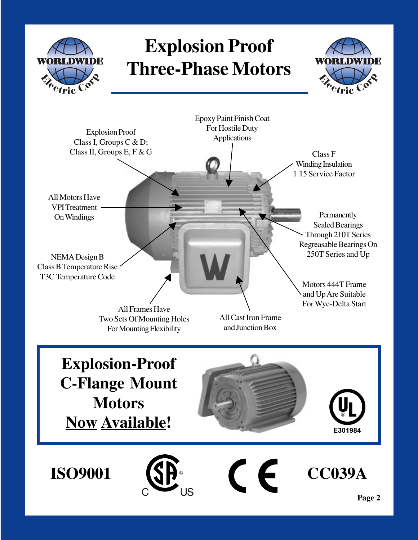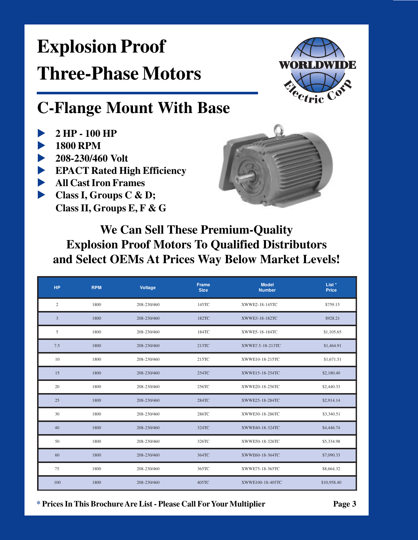

### **C-Flange Mount With Base**

- 2 HP 100 HP
- **1800 RPM**
- 208-230/460 Volt
- EPACT Rated High Efficiency
- All Cast Iron Frames
- Class I, Groups C & D; Class II, Groups E, F & G



#### We Can Sell These Premium-Quality **Explosion Proof Motors To Qualified Distributors** and Select OEMs At Prices Way Below Market Levels!

| <b>HP</b>    | <b>RPM</b> | Voltage     | Frame<br><b>Size</b> | <b>Model</b><br><b>Number</b> | List *<br>Price |
|--------------|------------|-------------|----------------------|-------------------------------|-----------------|
| $\mathbf{2}$ | 1800       | 208-230/460 | 145TC                | XWWE2-18-145TC                | \$759.15        |
| 3            | 1800       | 208-230/460 | 182TC                | XWWE3-18-182TC                | \$928.21        |
| 5            | 1800       | 208-230/460 | 184TC                | XWWE5-18-184TC                | \$1,105.65      |
| 7.5          | 1800       | 208-230/460 | 213TC                | XWWE7.5-18-213TC              | \$1,464.91      |
| 10           | 1800       | 208-230/460 | 215TC                | XWWE10-18-215TC               | \$1,671.51      |
| 15           | 1800       | 208-230/460 | 254TC                | XWWE15-18-254TC               | \$2,180.40      |
| 20           | 1800       | 208-230/460 | 256TC                | XWWE20-18-256TC               | \$2,440.33      |
| 25           | 1800       | 208-230/460 | 284TC                | XWWE25-18-284TC               | \$2,914.14      |
| 30           | 1800       | 208-230/460 | 286TC                | XWWE30-18-286TC               | \$3,340.51      |
| 40           | 1800       | 208-230/460 | 324TC                | XWWE40-18-324TC               | \$4,446.74      |
| 50           | 1800       | 208-230/460 | 326TC                | XWWE50-18-326TC               | \$5,334.98      |
| 60           | 1800       | 208-230/460 | 364TC                | XWWE60-18-364TC               | \$7,090.33      |
| 75           | 1800       | 208-230/460 | 365TC                | XWWE75-18-365TC               | \$8,664.32      |
| 100          | 1800       | 208-230/460 | 405TC                | XWWE100-18-405TC              | \$10,958.40     |

\* Prices In This Brochure Are List - Please Call For Your Multiplier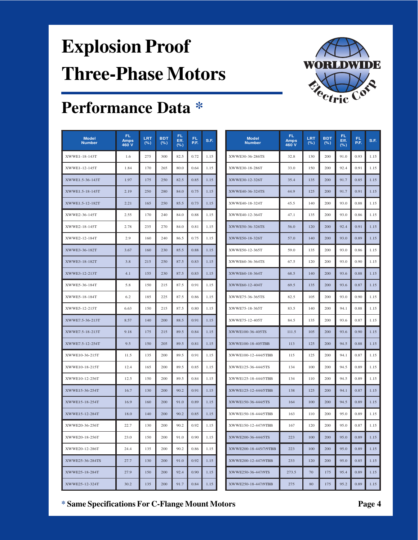

### **Performance Data \***

| <b>Model</b><br><b>Number</b> | FL.<br><b>Amps</b><br>460 V | LRT<br>(% ) | <b>BDT</b><br>(% ) | FL.<br>Eff.<br>(% ) | FL<br>P.F. | S.F. |                    | <b>Model</b><br><b>Number</b> | FL.<br><b>Amps</b><br>460 V | LRT<br>(% ) | <b>BDT</b><br>(%) | FL.<br>Eff.<br>(% ) | FL.<br>P.F. | S.F  |
|-------------------------------|-----------------------------|-------------|--------------------|---------------------|------------|------|--------------------|-------------------------------|-----------------------------|-------------|-------------------|---------------------|-------------|------|
| XWWE1-18-143T                 | 1.6                         | 275         | 300                | 82.5                | 0.72       | 1.15 |                    | XWWE30-36-286TS               | 32.8                        | 130         | 200               | 91.0                | 0.93        | 1.15 |
| XWWE1-12-145T                 | 1.84                        | 170         | 265                | 80.0                | 0.64       | 1.15 |                    | XWWE30-18-286T                | 33.0                        | 150         | 200               | 92.4                | 0.91        | 1.15 |
| XWWE1.5-36-143T               | 1.97                        | 175         | 250                | 82.5                | 0.85       | 1.15 |                    | XWWE30-12-326T                | 35.4                        | 135         | 200               | 91.7                | 0.85        | 1.15 |
| XWWE1.5-18-145T               | 2.19                        | 250         | 280                | 84.0                | 0.75       | 1.15 |                    | XWWE40-36-324TS               | 44.9                        | 125         | 200               | 91.7                | 0.91        | 1.15 |
| XWWE1.5-12-182T               | 2.21                        | 165         | 250                | 85.5                | 0.73       | 1.15 |                    | XWWE40-18-324T                | 45.5                        | 140         | 200               | 93.0                | 0.88        | 1.15 |
| XWWE2-36-145T                 | 2.55                        | 170         | 240                | 84.0                | 0.88       | 1.15 |                    | XWWE40-12-364T                | 47.1                        | 135         | 200               | 93.0                | 0.86        | 1.15 |
| XWWE2-18-145T                 | 2.78                        | 235         | 270                | 84.0                | 0.81       | 1.15 |                    | XWWE50-36-326TS               | 56.0                        | 120         | 200               | 92.4                | 0.91        | 1.15 |
| XWWE2-12-184T                 | 2.9                         | 160         | 240                | 86.5                | 0.75       | 1.15 |                    | XWWE50-18-326T                | 57.0                        | 140         | 200               | 93.0                | 0.89        | 1.15 |
| XWWE3-36-182T                 | 3.67                        | 160         | 230                | 85.5                | 0.88       | 1.15 |                    | XWWE50-12-365T                | 59.0                        | 135         | 200               | 93.0                | 0.86        | 1.15 |
| XWWE3-18-182T                 | 3.8                         | 215         | 250                | 87.5                | 0.83       | 1.15 |                    | XWWE60-36-364TS               | 67.5                        | 120         | 200               | 93.0                | 0.90        | 1.15 |
| XWWE3-12-213T                 | 4.1                         | 155         | 230                | 87.5                | 0.83       | 1.15 |                    | XWWE60-18-364T                | 68.5                        | 140         | 200               | 93.6                | 0.88        | 1.15 |
| XWWE5-36-184T                 | 5.8                         | 150         | 215                | 87.5                | 0.91       | 1.15 |                    | XWWE60-12-404T                | 69.5                        | 135         | 200               | 93.6                | 0.87        | 1.15 |
| XWWE5-18-184T                 | 6.2                         | 185         | 225                | 87.5                | 0.86       | 1.15 |                    | XWWE75-36-365TS               | 82.5                        | 105         | 200               | 93.0                | 0.90        | 1.15 |
| XWWE5-12-215T                 | 6.63                        | 150         | 215                | 87.5                | 0.80       | 1.15 |                    | XWWE75-18-365T                | 83.5                        | 140         | 200               | 94.1                | 0.88        | 1.15 |
| XWWE7.5-36-213T               | 8.57                        | 140         | 200                | 88.5                | 0.91       | 1.15 |                    | XWWE75-12-405T                | 84.5                        | 135         | 200               | 93.6                | 0.87        | 1.15 |
| XWWE7.5-18-213T               | 9.18                        | 175         | 215                | 89.5                | 0.84       | 1.15 |                    | XWWE100-36-405TS              | 111.5                       | 105         | 200               | 93.6                | 0.90        | 1.15 |
| XWWE7.5-12-254T               | 9.5                         | 150         | 205                | 89.5                | 0.81       | 1.15 |                    | XWWE100-18-405TBB             | 113                         | 125         | 200               | 94.5                | 0.88        | 1.15 |
| XWWE10-36-215T                | 11.5                        | 135         | 200                | 89.5                | 0.91       | 1.15 |                    | XWWE100-12-444/5TBB           | 115                         | 125         | 200               | 94.1                | 0.87        | 1.15 |
| XWWE10-18-215T                | 12.4                        | 165         | 200                | 89.5                | 0.85       | 1.15 |                    | XWWE125-36-444/5TS            | 134                         | 100         | 200               | 94.5                | 0.89        | 1.15 |
| XWWE10-12-256T                | 12.5                        | 150         | 200                | 89.5                | 0.84       | 1.15 |                    | XWWE125-18-444/5TBB           | 134                         | 110         | 200               | 94.5                | 0.89        | 1.15 |
| XWWE15-36-254T                | 16.7                        | 130         | 200                | 90.2                | 0.91       | 1.15 |                    | XWWE125-12-444/5TBB           | 138                         | 125         | 200               | 94.1                | 0.87        | 1.15 |
| XWWE15-18-254T                | 16.9                        | 160         | 200                | 91.0                | 0.89       | 1.15 |                    | XWWE150-36-444/5TS            | 164                         | 100         | 200               | 94.5                | 0.89        | 1.15 |
| XWWE15-12-284T                | 18.0                        | 140         | 200                | 90.2                | 0.85       | 1.15 |                    | XWWE150-18-444/5TBB           | 163                         | 110         | 200               | 95.0                | 0.89        | 1.15 |
| XWWE20-36-256T                | 22.7                        | 130         | 200                | 90.2                | 0.92       | 1.15 |                    | XWWE150-12-447/9TBB           | 167                         | 120         | 200               | 95.0                | 0.87        | 1.15 |
| XWWE20-18-256T                | 23.0                        | 150         | 200                | 91.0                | 0.90       | 1.15 | XWWE200-36-444/5TS |                               | 223                         | 100         | 200               | 95.0                | 0.89        | 1.15 |
| XWWE20-12-286T                | 24.4                        | 135         | 200                | 90.2                | 0.86       | 1.15 |                    | XWWE200-18-445/7/9TBB         | 223                         | 100         | 200               | 95.0                | 0.89        | 1.15 |
| XWWE25-36-284TS               | 27.7                        | 130         | 200                | 91.0                | 0.92       | 1.15 |                    | XWWE200-12-447/9TBB           | 233                         | 120         | 200               | 95.0                | 0.85        | 1.15 |
| XWWE25-18-284T                | 27.9                        | 150         | 200                | 92.4                | 0.90       | 1.15 |                    | XWWE250-36-447/9TS            | 273.5                       | 70          | 175               | 95.4                | 0.89        | 1.15 |
| XWWE25-12-324T                | 30.2                        | 135         | 200                | 91.7                | 0.84       | 1.15 |                    | XWWE250-18-447/9TBB           | 275                         | 80          | 175               | 95.2                | 0.89        | 1.15 |

| <b>Model</b><br><b>Number</b> | <b>FL</b><br><b>Amps</b><br>460 V | LRT<br>(% ) | <b>BDT</b><br>(% ) | FL<br>Eff.<br>(%) | <b>FL</b><br>P.F. | S.F. |
|-------------------------------|-----------------------------------|-------------|--------------------|-------------------|-------------------|------|
| XWWE30-36-286TS               | 32.8                              | 130         | 200                | 91.0              | 0.93              | 1.15 |
| XWWE30-18-286T                | 33.0                              | 150         | 200                | 92.4              | 0.91              | 1.15 |
| XWWE30-12-326T                | 35.4                              | 135         | 200                | 91.7              | 0.85              | 1.15 |
| XWWE40-36-324TS               | 44.9                              | 125         | 200                | 91.7              | 0.91              | 1.15 |
| XWWE40-18-324T                | 45.5                              | 140         | 200                | 93.0              | 0.88              | 1.15 |
| XWWE40-12-364T                | 47.1                              | 135         | 200                | 93.0              | 0.86              | 1.15 |
| XWWE50-36-326TS               | 56.0                              | 120         | 200                | 92.4              | 0.91              | 1.15 |
| XWWE50-18-326T                | 57.0                              | 140         | 200                | 93.0              | 0.89              | 1.15 |
| XWWE50-12-365T                | 59.0                              | 135         | 200                | 93.0              | 0.86              | 1.15 |
| XWWE60-36-364TS               | 67.5                              | 120         | 200                | 93.0              | 0.90              | 1.15 |
| XWWE60-18-364T                | 68.5                              | 140         | 200                | 93.6              | 0.88              | 1.15 |
| XWWE60-12-404T                | 69.5                              | 135         | 200                | 93.6              | 0.87              | 1.15 |
| XWWE75-36-365TS               | 82.5                              | 105         | 200                | 93.0              | 0.90              | 1.15 |
| XWWE75-18-365T                | 83.5                              | 140         | 200                | 94.1              | 0.88              | 1.15 |
| XWWE75-12-405T                | 84.5                              | 135         | 200                | 93.6              | 0.87              | 1.15 |
| XWWE100-36-405TS              | 111.5                             | 105         | 200                | 93.6              | 0.90              | 1.15 |
| XWWE100-18-405TBB             | 113                               | 125         | 200                | 94.5              | 0.88              | 1.15 |
| XWWE100-12-444/5TBB           | 115                               | 125         | 200                | 94.1              | 0.87              | 1.15 |
| XWWE125-36-444/5TS            | 134                               | 100         | 200                | 94.5              | 0.89              | 1.15 |
| XWWE125-18-444/5TBB           | 134                               | 110         | 200                | 94.5              | 0.89              | 1.15 |
| XWWE125-12-444/5TBB           | 138                               | 125         | 200                | 94.1              | 0.87              | 1.15 |
| XWWE150-36-444/5TS            | 164                               | 100         | 200                | 94.5              | 0.89              | 1.15 |
| XWWE150-18-444/5TBB           | 163                               | 110         | 200                | 95.0              | 0.89              | 1.15 |
| XWWE150-12-447/9TBB           | 167                               | 120         | 200                | 95.0              | 0.87              | 1.15 |
| XWWE200-36-444/5TS            | 223                               | 100         | 200                | 95.0              | 0.89              | 1.15 |
| XWWE200-18-445/7/9TBB         | 223                               | 100         | 200                | 95.0              | 0.89              | 1.15 |
| XWWE200-12-447/9TBB           | 233                               | 120         | 200                | 95.0              | 0.85              | 1.15 |
| XWWE250-36-447/9TS            | 273.5                             | 70          | 175                | 95.4              | 0.89              | 1.15 |
| XWWE250-18-447/9TBB           | 275                               | 80          | 175                | 95.2              | 0.89              | 1.15 |

**\* Same Specifications For C-Flange Mount Motors Page 4**